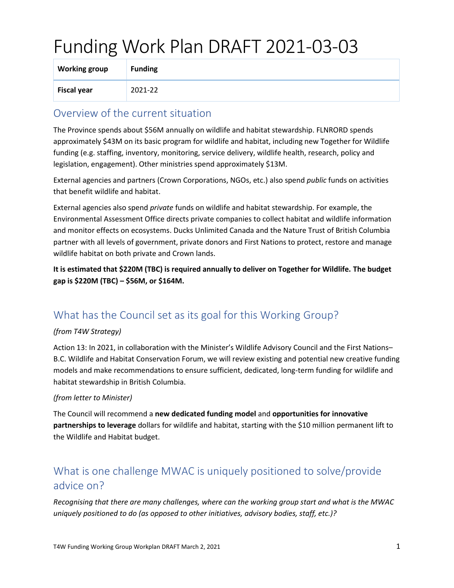# Funding Work Plan DRAFT 2021-03-03

| <b>Working group</b> | <b>Funding</b> |
|----------------------|----------------|
| <b>Fiscal year</b>   | 2021-22        |

### Overview of the current situation

The Province spends about \$56M annually on wildlife and habitat stewardship. FLNRORD spends approximately \$43M on its basic program for wildlife and habitat, including new Together for Wildlife funding (e.g. staffing, inventory, monitoring, service delivery, wildlife health, research, policy and legislation, engagement). Other ministries spend approximately \$13M.

External agencies and partners (Crown Corporations, NGOs, etc.) also spend *public* funds on activities that benefit wildlife and habitat.

External agencies also spend *private* funds on wildlife and habitat stewardship. For example, the Environmental Assessment Office directs private companies to collect habitat and wildlife information and monitor effects on ecosystems. Ducks Unlimited Canada and the Nature Trust of British Columbia partner with all levels of government, private donors and First Nations to protect, restore and manage wildlife habitat on both private and Crown lands.

**It is estimated that \$220M (TBC) is required annually to deliver on Together for Wildlife. The budget gap is \$220M (TBC) – \$56M, or \$164M.**

## What has the Council set as its goal for this Working Group?

#### *(from T4W Strategy)*

Action 13: In 2021, in collaboration with the Minister's Wildlife Advisory Council and the First Nations– B.C. Wildlife and Habitat Conservation Forum, we will review existing and potential new creative funding models and make recommendations to ensure sufficient, dedicated, long-term funding for wildlife and habitat stewardship in British Columbia.

#### *(from letter to Minister)*

The Council will recommend a **new dedicated funding model** and **opportunities for innovative partnerships to leverage** dollars for wildlife and habitat, starting with the \$10 million permanent lift to the Wildlife and Habitat budget.

## What is one challenge MWAC is uniquely positioned to solve/provide advice on?

*Recognising that there are many challenges, where can the working group start and what is the MWAC uniquely positioned to do (as opposed to other initiatives, advisory bodies, staff, etc.)?*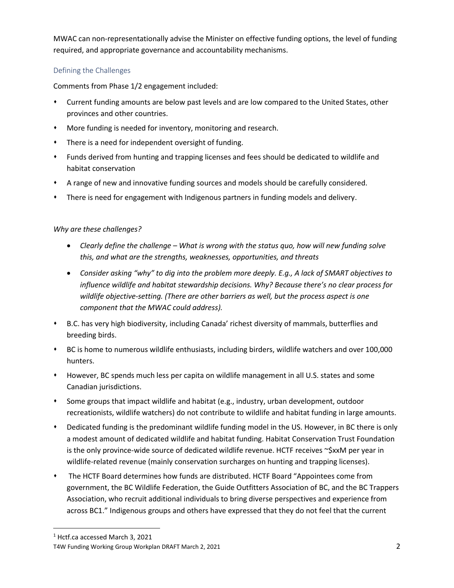MWAC can non-representationally advise the Minister on effective funding options, the level of funding required, and appropriate governance and accountability mechanisms.

#### Defining the Challenges

Comments from Phase 1/2 engagement included:

- ⬧ Current funding amounts are below past levels and are low compared to the United States, other provinces and other countries.
- ⬧ More funding is needed for inventory, monitoring and research.
- ⬧ There is a need for independent oversight of funding.
- ⬧ Funds derived from hunting and trapping licenses and fees should be dedicated to wildlife and habitat conservation
- ⬧ A range of new and innovative funding sources and models should be carefully considered.
- ⬧ There is need for engagement with Indigenous partners in funding models and delivery.

#### *Why are these challenges?*

- *Clearly define the challenge – What is wrong with the status quo, how will new funding solve this, and what are the strengths, weaknesses, opportunities, and threats*
- *Consider asking "why" to dig into the problem more deeply. E.g., A lack of SMART objectives to influence wildlife and habitat stewardship decisions. Why? Because there's no clear process for wildlife objective-setting. (There are other barriers as well, but the process aspect is one component that the MWAC could address).*
- ⬧ B.C. has very high biodiversity, including Canada' richest diversity of mammals, butterflies and breeding birds.
- ⬧ BC is home to numerous wildlife enthusiasts, including birders, wildlife watchers and over 100,000 hunters.
- ⬧ However, BC spends much less per capita on wildlife management in all U.S. states and some Canadian jurisdictions.
- ⬧ Some groups that impact wildlife and habitat (e.g., industry, urban development, outdoor recreationists, wildlife watchers) do not contribute to wildlife and habitat funding in large amounts.
- Dedicated funding is the predominant wildlife funding model in the US. However, in BC there is only a modest amount of dedicated wildlife and habitat funding. Habitat Conservation Trust Foundation is the only province-wide source of dedicated wildlife revenue. HCTF receives ~\$xxM per year in wildlife-related revenue (mainly conservation surcharges on hunting and trapping licenses).
- ⬧ The HCTF Board determines how funds are distributed. HCTF Board "Appointees come from government, the BC Wildlife Federation, the Guide Outfitters Association of BC, and the BC Trappers Association, who recruit additional individuals to bring diverse perspectives and experience from across BC1." Indigenous groups and others have expressed that they do not feel that the current

<sup>1</sup> Hctf.ca accessed March 3, 2021

T4W Funding Working Group Workplan DRAFT March 2, 2021 2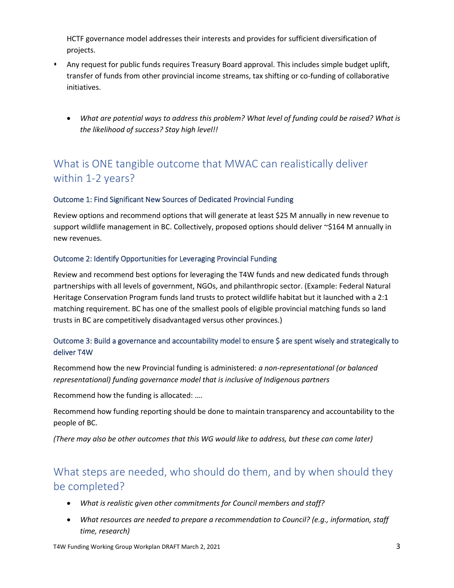HCTF governance model addresses their interests and provides for sufficient diversification of projects.

- ⬧ Any request for public funds requires Treasury Board approval. This includes simple budget uplift, transfer of funds from other provincial income streams, tax shifting or co-funding of collaborative initiatives.
	- *What are potential ways to address this problem? What level of funding could be raised? What is the likelihood of success? Stay high level!!*

## What is ONE tangible outcome that MWAC can realistically deliver within 1-2 years?

#### Outcome 1: Find Significant New Sources of Dedicated Provincial Funding

Review options and recommend options that will generate at least \$25 M annually in new revenue to support wildlife management in BC. Collectively, proposed options should deliver ~\$164 M annually in new revenues.

#### Outcome 2: Identify Opportunities for Leveraging Provincial Funding

Review and recommend best options for leveraging the T4W funds and new dedicated funds through partnerships with all levels of government, NGOs, and philanthropic sector. (Example: Federal Natural Heritage Conservation Program funds land trusts to protect wildlife habitat but it launched with a 2:1 matching requirement. BC has one of the smallest pools of eligible provincial matching funds so land trusts in BC are competitively disadvantaged versus other provinces.)

#### Outcome 3: Build a governance and accountability model to ensure \$ are spent wisely and strategically to deliver T4W

Recommend how the new Provincial funding is administered: *a non-representational (or balanced representational) funding governance model that is inclusive of Indigenous partners*

Recommend how the funding is allocated: ….

Recommend how funding reporting should be done to maintain transparency and accountability to the people of BC.

*(There may also be other outcomes that this WG would like to address, but these can come later)* 

## What steps are needed, who should do them, and by when should they be completed?

- *What is realistic given other commitments for Council members and staff?*
- *What resources are needed to prepare a recommendation to Council? (e.g., information, staff time, research)*